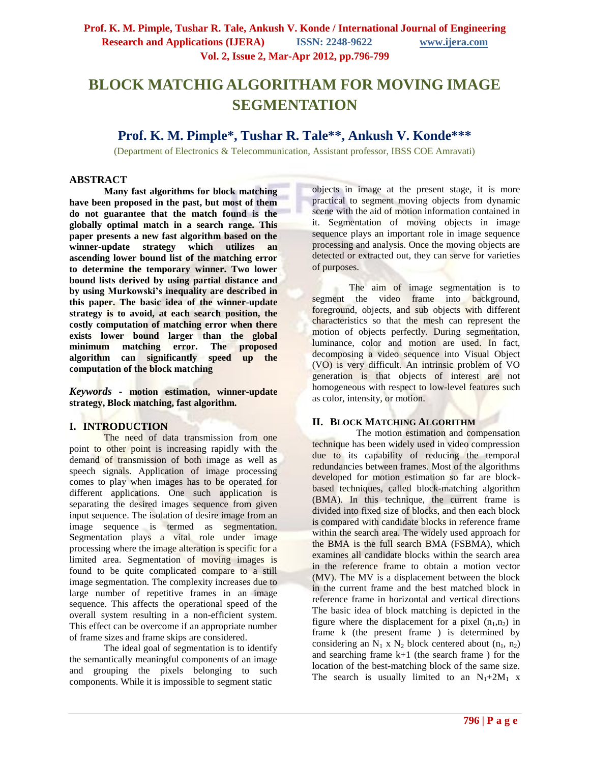# **BLOCK MATCHIG ALGORITHAM FOR MOVING IMAGE SEGMENTATION**

**Prof. K. M. Pimple\*, Tushar R. Tale\*\*, Ankush V. Konde\*\*\***

(Department of Electronics & Telecommunication, Assistant professor, IBSS COE Amravati)

## **ABSTRACT**

**Many fast algorithms for block matching have been proposed in the past, but most of them do not guarantee that the match found is the globally optimal match in a search range. This paper presents a new fast algorithm based on the winner-update strategy which utilizes an ascending lower bound list of the matching error to determine the temporary winner. Two lower bound lists derived by using partial distance and by using Murkowski's inequality are described in this paper. The basic idea of the winner-update strategy is to avoid, at each search position, the costly computation of matching error when there exists lower bound larger than the global minimum matching error. The proposed algorithm can significantly speed up the computation of the block matching**

*Keywords* **- motion estimation, winner-update strategy, Block matching, fast algorithm.**

# **I. INTRODUCTION**

The need of data transmission from one point to other point is increasing rapidly with the demand of transmission of both image as well as speech signals. Application of image processing comes to play when images has to be operated for different applications. One such application is separating the desired images sequence from given input sequence. The isolation of desire image from an image sequence is termed as segmentation. Segmentation plays a vital role under image processing where the image alteration is specific for a limited area. Segmentation of moving images is found to be quite complicated compare to a still image segmentation. The complexity increases due to large number of repetitive frames in an image sequence. This affects the operational speed of the overall system resulting in a non-efficient system. This effect can be overcome if an appropriate number of frame sizes and frame skips are considered.

The ideal goal of segmentation is to identify the semantically meaningful components of an image and grouping the pixels belonging to such components. While it is impossible to segment static

objects in image at the present stage, it is more practical to segment moving objects from dynamic scene with the aid of motion information contained in it. Segmentation of moving objects in image sequence plays an important role in image sequence processing and analysis. Once the moving objects are detected or extracted out, they can serve for varieties of purposes.

The aim of image segmentation is to segment the video frame into background, foreground, objects, and sub objects with different characteristics so that the mesh can represent the motion of objects perfectly. During segmentation, luminance, color and motion are used. In fact, decomposing a video sequence into Visual Object (VO) is very difficult. An intrinsic problem of VO generation is that objects of interest are not homogeneous with respect to low-level features such as color, intensity, or motion.

# **II. BLOCK MATCHING ALGORITHM**

The motion estimation and compensation technique has been widely used in video compression due to its capability of reducing the temporal redundancies between frames. Most of the algorithms developed for motion estimation so far are blockbased techniques, called block-matching algorithm (BMA). In this technique, the current frame is divided into fixed size of blocks, and then each block is compared with candidate blocks in reference frame within the search area. The widely used approach for the BMA is the full search BMA (FSBMA), which examines all candidate blocks within the search area in the reference frame to obtain a motion vector (MV). The MV is a displacement between the block in the current frame and the best matched block in reference frame in horizontal and vertical directions The basic idea of block matching is depicted in the figure where the displacement for a pixel  $(n_1,n_2)$  in frame k (the present frame ) is determined by considering an  $N_1$  x  $N_2$  block centered about  $(n_1, n_2)$ and searching frame k+1 (the search frame ) for the location of the best-matching block of the same size. The search is usually limited to an  $N_1+2M_1$  x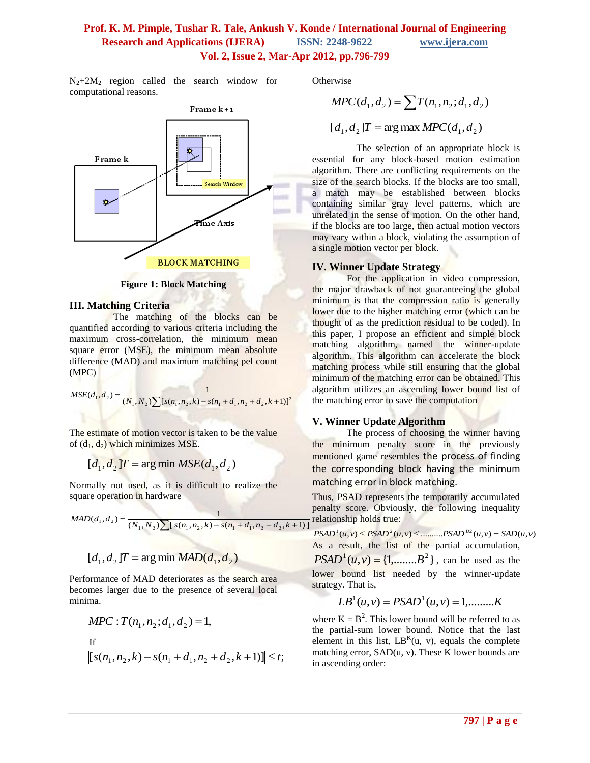# **Prof. K. M. Pimple, Tushar R. Tale, Ankush V. Konde / International Journal of Engineering Research and Applications (IJERA) ISSN: 2248-9622 www.ijera.com Vol. 2, Issue 2, Mar-Apr 2012, pp.796-799**

 $N_2+2M_2$  region called the search window for computational reasons.



**Figure 1: Block Matching**

#### **III. Matching Criteria**

The matching of the blocks can be quantified according to various criteria including the maximum cross-correlation, the minimum mean square error (MSE), the minimum mean absolute difference (MAD) and maximum matching pel count (MPC)

$$
MSE(d_1, d_2) = \frac{1}{(N_1, N_2) \sum [s(n_1, n_2, k) - s(n_1 + d_1, n_2 + d_2, k+1)]^2}
$$

The estimate of motion vector is taken to be the value of  $(d_1, d_2)$  which minimizes MSE.

$$
[d_1, d_2]T = \arg\min MSE(d_1, d_2)
$$

Normally not used, as it is difficult to realize the square operation in hardware

$$
MAD(d_1, d_2) = \frac{1}{(N_1, N_2) \sum [s(n_1, n_2, k) - s(n_1 + d_1, n_2 + d_2, k+1)]}
$$

$$
[d_1, d_2]T = \arg\min MAD(d_1, d_2)
$$

Performance of MAD deteriorates as the search area becomes larger due to the presence of several local minima.

$$
MPC: T(n_1, n_2; d_1, d_2) = 1,
$$
  
If  

$$
[s(n_1, n_2, k) - s(n_1 + d_1, n_2 + d_2, k+1)] \le t;
$$

**Otherwise** 

$$
MPC(d_1, d_2) = \sum T(n_1, n_2; d_1, d_2)
$$
  
[ $d_1, d_2$ ]  $T = \arg \max MPC(d_1, d_2)$ 

The selection of an appropriate block is essential for any block-based motion estimation algorithm. There are conflicting requirements on the size of the search blocks. If the blocks are too small, a match may be established between blocks containing similar gray level patterns, which are unrelated in the sense of motion. On the other hand, if the blocks are too large, then actual motion vectors may vary within a block, violating the assumption of a single motion vector per block.

## **IV. Winner Update Strategy**

For the application in video compression, the major drawback of not guaranteeing the global minimum is that the compression ratio is generally lower due to the higher matching error (which can be thought of as the prediction residual to be coded). In this paper, I propose an efficient and simple block matching algorithm, named the winner-update algorithm. This algorithm can accelerate the block matching process while still ensuring that the global minimum of the matching error can be obtained. This algorithm utilizes an ascending lower bound list of the matching error to save the computation

# **V. Winner Update Algorithm**

The process of choosing the winner having the minimum penalty score in the previously mentioned game resembles the process of finding the corresponding block having the minimum matching error in block matching.

Thus, PSAD represents the temporarily accumulated penalty score. Obviously, the following inequality relationship holds true:

 $PSAD^{1}(u, v) \leq PSAD^{2}(u, v) \leq \dots \dots \dots \cdot PSAD^{B2}(u, v) = SAD(u, v)$ As a result, the list of the partial accumulation,  $PSAD<sup>1</sup>(u, v) = \{1, \dots, B<sup>2</sup>\}$ , can be used as the lower bound list needed by the winner-update strategy. That is,

$$
LB^{1}(u, v) = PSAD^{1}(u, v) = 1, \dots, K
$$

where  $K = B^2$ . This lower bound will be referred to as the partial-sum lower bound. Notice that the last element in this list,  $LB^{K}(u, v)$ , equals the complete matching error,  $SAD(u, v)$ . These K lower bounds are in ascending order: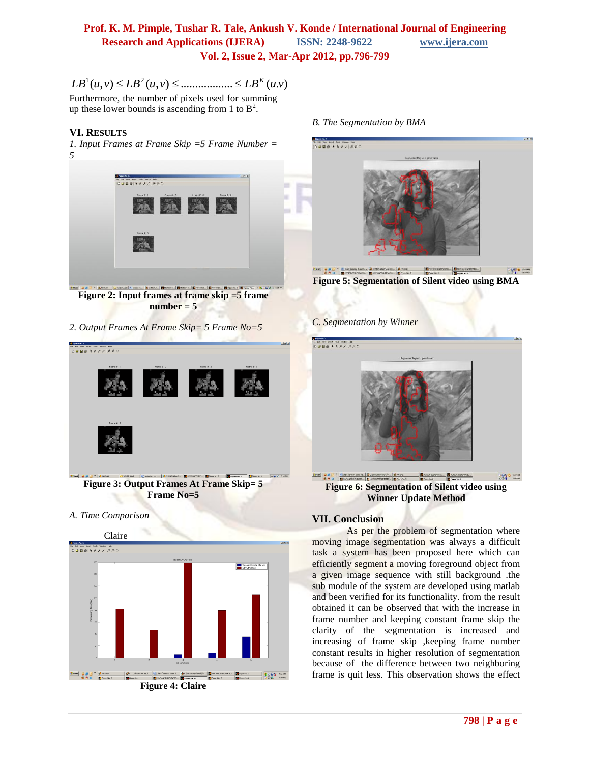# **Prof. K. M. Pimple, Tushar R. Tale, Ankush V. Konde / International Journal of Engineering Research and Applications (IJERA) ISSN: 2248-9622 www.ijera.com Vol. 2, Issue 2, Mar-Apr 2012, pp.796-799**

1 2 *LB u v LB u v LB u v K* Furthermore, the number of pixels used for summing

up these lower bounds is ascending from 1 to  $B^2$ .

# **VI. RESULTS**

*1. Input Frames at Frame Skip =5 Frame Number = 5*



**Figure 2: Input frames at frame skip =5 frame number = 5**

*2. Output Frames At Frame Skip= 5 Frame No=5*



**Figure 3: Output Frames At Frame Skip= 5 Frame No=5**

#### *A. Time Comparison*



*B. The Segmentation by BMA*



**Figure 5: Segmentation of Silent video using BMA**

#### *C. Segmentation by Winner*



**Figure 6: Segmentation of Silent video using Winner Update Method**

# **VII. Conclusion**

As per the problem of segmentation where moving image segmentation was always a difficult task a system has been proposed here which can efficiently segment a moving foreground object from a given image sequence with still background .the sub module of the system are developed using matlab and been verified for its functionality. from the result obtained it can be observed that with the increase in frame number and keeping constant frame skip the clarity of the segmentation is increased and increasing of frame skip ,keeping frame number constant results in higher resolution of segmentation because of the difference between two neighboring frame is quit less. This observation shows the effect